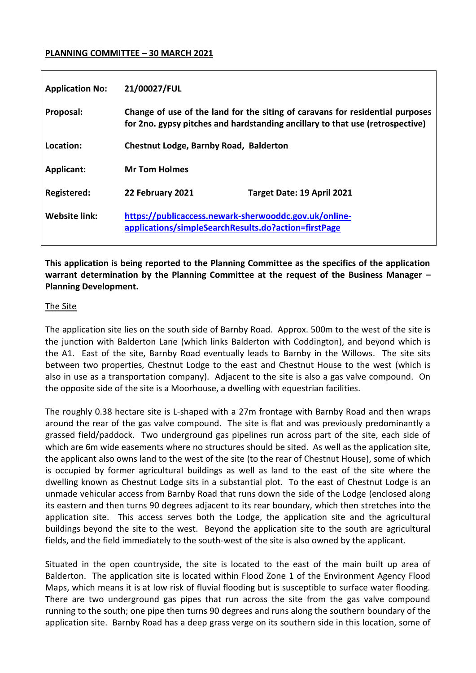#### **PLANNING COMMITTEE – 30 MARCH 2021**

| <b>Application No:</b> | 21/00027/FUL                                                                                                                                                   |                            |
|------------------------|----------------------------------------------------------------------------------------------------------------------------------------------------------------|----------------------------|
| Proposal:              | Change of use of the land for the siting of caravans for residential purposes<br>for 2no. gypsy pitches and hardstanding ancillary to that use (retrospective) |                            |
| Location:              | <b>Chestnut Lodge, Barnby Road, Balderton</b>                                                                                                                  |                            |
| <b>Applicant:</b>      | <b>Mr Tom Holmes</b>                                                                                                                                           |                            |
| <b>Registered:</b>     | 22 February 2021                                                                                                                                               | Target Date: 19 April 2021 |
| <b>Website link:</b>   | https://publicaccess.newark-sherwooddc.gov.uk/online-<br>applications/simpleSearchResults.do?action=firstPage                                                  |                            |

**This application is being reported to the Planning Committee as the specifics of the application warrant determination by the Planning Committee at the request of the Business Manager – Planning Development.** 

#### The Site

The application site lies on the south side of Barnby Road. Approx. 500m to the west of the site is the junction with Balderton Lane (which links Balderton with Coddington), and beyond which is the A1. East of the site, Barnby Road eventually leads to Barnby in the Willows. The site sits between two properties, Chestnut Lodge to the east and Chestnut House to the west (which is also in use as a transportation company). Adjacent to the site is also a gas valve compound. On the opposite side of the site is a Moorhouse, a dwelling with equestrian facilities.

The roughly 0.38 hectare site is L-shaped with a 27m frontage with Barnby Road and then wraps around the rear of the gas valve compound. The site is flat and was previously predominantly a grassed field/paddock. Two underground gas pipelines run across part of the site, each side of which are 6m wide easements where no structures should be sited. As well as the application site, the applicant also owns land to the west of the site (to the rear of Chestnut House), some of which is occupied by former agricultural buildings as well as land to the east of the site where the dwelling known as Chestnut Lodge sits in a substantial plot. To the east of Chestnut Lodge is an unmade vehicular access from Barnby Road that runs down the side of the Lodge (enclosed along its eastern and then turns 90 degrees adjacent to its rear boundary, which then stretches into the application site. This access serves both the Lodge, the application site and the agricultural buildings beyond the site to the west. Beyond the application site to the south are agricultural fields, and the field immediately to the south-west of the site is also owned by the applicant.

Situated in the open countryside, the site is located to the east of the main built up area of Balderton. The application site is located within Flood Zone 1 of the Environment Agency Flood Maps, which means it is at low risk of fluvial flooding but is susceptible to surface water flooding. There are two underground gas pipes that run across the site from the gas valve compound running to the south; one pipe then turns 90 degrees and runs along the southern boundary of the application site. Barnby Road has a deep grass verge on its southern side in this location, some of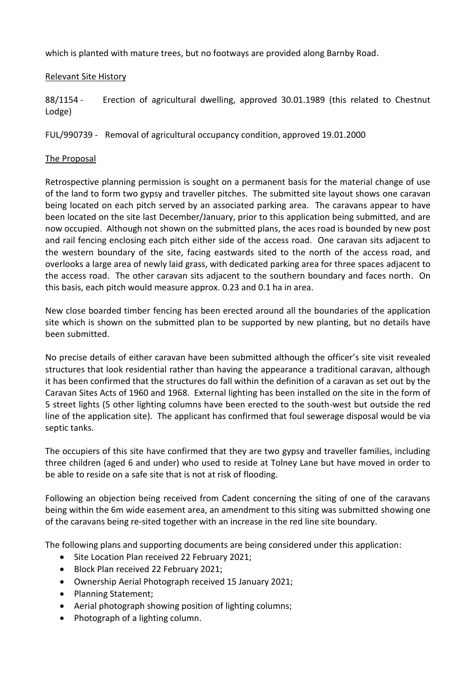which is planted with mature trees, but no footways are provided along Barnby Road.

## Relevant Site History

88/1154 - Erection of agricultural dwelling, approved 30.01.1989 (this related to Chestnut Lodge)

FUL/990739 - Removal of agricultural occupancy condition, approved 19.01.2000

#### The Proposal

Retrospective planning permission is sought on a permanent basis for the material change of use of the land to form two gypsy and traveller pitches. The submitted site layout shows one caravan being located on each pitch served by an associated parking area. The caravans appear to have been located on the site last December/January, prior to this application being submitted, and are now occupied. Although not shown on the submitted plans, the aces road is bounded by new post and rail fencing enclosing each pitch either side of the access road. One caravan sits adjacent to the western boundary of the site, facing eastwards sited to the north of the access road, and overlooks a large area of newly laid grass, with dedicated parking area for three spaces adjacent to the access road. The other caravan sits adjacent to the southern boundary and faces north. On this basis, each pitch would measure approx. 0.23 and 0.1 ha in area.

New close boarded timber fencing has been erected around all the boundaries of the application site which is shown on the submitted plan to be supported by new planting, but no details have been submitted.

No precise details of either caravan have been submitted although the officer's site visit revealed structures that look residential rather than having the appearance a traditional caravan, although it has been confirmed that the structures do fall within the definition of a caravan as set out by the Caravan Sites Acts of 1960 and 1968. External lighting has been installed on the site in the form of 5 street lights (5 other lighting columns have been erected to the south-west but outside the red line of the application site). The applicant has confirmed that foul sewerage disposal would be via septic tanks.

The occupiers of this site have confirmed that they are two gypsy and traveller families, including three children (aged 6 and under) who used to reside at Tolney Lane but have moved in order to be able to reside on a safe site that is not at risk of flooding.

Following an objection being received from Cadent concerning the siting of one of the caravans being within the 6m wide easement area, an amendment to this siting was submitted showing one of the caravans being re-sited together with an increase in the red line site boundary.

The following plans and supporting documents are being considered under this application:

- Site Location Plan received 22 February 2021;
- Block Plan received 22 February 2021;
- Ownership Aerial Photograph received 15 January 2021;
- Planning Statement;
- Aerial photograph showing position of lighting columns;
- Photograph of a lighting column.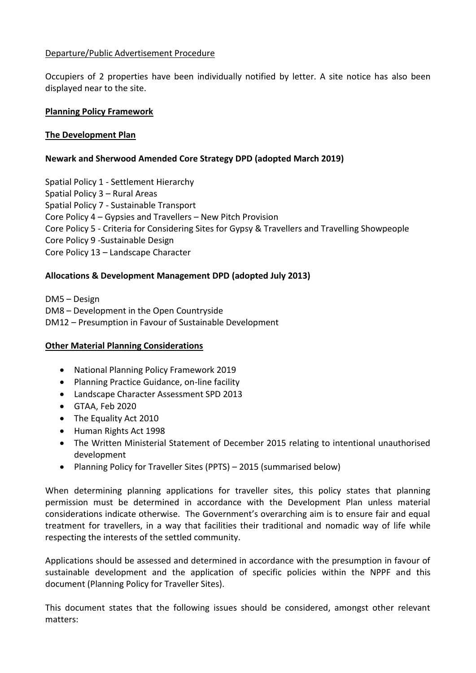## Departure/Public Advertisement Procedure

Occupiers of 2 properties have been individually notified by letter. A site notice has also been displayed near to the site.

#### **Planning Policy Framework**

#### **The Development Plan**

## **Newark and Sherwood Amended Core Strategy DPD (adopted March 2019)**

Spatial Policy 1 - Settlement Hierarchy Spatial Policy 3 – Rural Areas Spatial Policy 7 - Sustainable Transport Core Policy 4 – Gypsies and Travellers – New Pitch Provision Core Policy 5 - Criteria for Considering Sites for Gypsy & Travellers and Travelling Showpeople Core Policy 9 -Sustainable Design Core Policy 13 – Landscape Character

# **Allocations & Development Management DPD (adopted July 2013)**

DM5 – Design DM8 – Development in the Open Countryside DM12 – Presumption in Favour of Sustainable Development

#### **Other Material Planning Considerations**

- National Planning Policy Framework 2019
- Planning Practice Guidance, on-line facility
- Landscape Character Assessment SPD 2013
- GTAA, Feb 2020
- The Equality Act 2010
- Human Rights Act 1998
- The Written Ministerial Statement of December 2015 relating to intentional unauthorised development
- Planning Policy for Traveller Sites (PPTS) 2015 (summarised below)

When determining planning applications for traveller sites, this policy states that planning permission must be determined in accordance with the Development Plan unless material considerations indicate otherwise. The Government's overarching aim is to ensure fair and equal treatment for travellers, in a way that facilities their traditional and nomadic way of life while respecting the interests of the settled community.

Applications should be assessed and determined in accordance with the presumption in favour of sustainable development and the application of specific policies within the NPPF and this document (Planning Policy for Traveller Sites).

This document states that the following issues should be considered, amongst other relevant matters: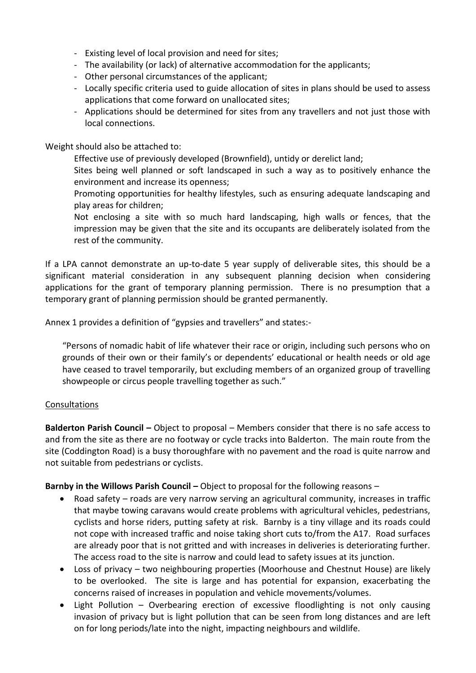- Existing level of local provision and need for sites;
- The availability (or lack) of alternative accommodation for the applicants;
- Other personal circumstances of the applicant;
- Locally specific criteria used to guide allocation of sites in plans should be used to assess applications that come forward on unallocated sites;
- Applications should be determined for sites from any travellers and not just those with local connections.

Weight should also be attached to:

Effective use of previously developed (Brownfield), untidy or derelict land;

Sites being well planned or soft landscaped in such a way as to positively enhance the environment and increase its openness;

Promoting opportunities for healthy lifestyles, such as ensuring adequate landscaping and play areas for children;

Not enclosing a site with so much hard landscaping, high walls or fences, that the impression may be given that the site and its occupants are deliberately isolated from the rest of the community.

If a LPA cannot demonstrate an up-to-date 5 year supply of deliverable sites, this should be a significant material consideration in any subsequent planning decision when considering applications for the grant of temporary planning permission. There is no presumption that a temporary grant of planning permission should be granted permanently.

Annex 1 provides a definition of "gypsies and travellers" and states:-

"Persons of nomadic habit of life whatever their race or origin, including such persons who on grounds of their own or their family's or dependents' educational or health needs or old age have ceased to travel temporarily, but excluding members of an organized group of travelling showpeople or circus people travelling together as such."

# Consultations

**Balderton Parish Council –** Object to proposal – Members consider that there is no safe access to and from the site as there are no footway or cycle tracks into Balderton. The main route from the site (Coddington Road) is a busy thoroughfare with no pavement and the road is quite narrow and not suitable from pedestrians or cyclists.

**Barnby in the Willows Parish Council –** Object to proposal for the following reasons –

- Road safety roads are very narrow serving an agricultural community, increases in traffic that maybe towing caravans would create problems with agricultural vehicles, pedestrians, cyclists and horse riders, putting safety at risk. Barnby is a tiny village and its roads could not cope with increased traffic and noise taking short cuts to/from the A17. Road surfaces are already poor that is not gritted and with increases in deliveries is deteriorating further. The access road to the site is narrow and could lead to safety issues at its junction.
- Loss of privacy two neighbouring properties (Moorhouse and Chestnut House) are likely to be overlooked. The site is large and has potential for expansion, exacerbating the concerns raised of increases in population and vehicle movements/volumes.
- Light Pollution Overbearing erection of excessive floodlighting is not only causing invasion of privacy but is light pollution that can be seen from long distances and are left on for long periods/late into the night, impacting neighbours and wildlife.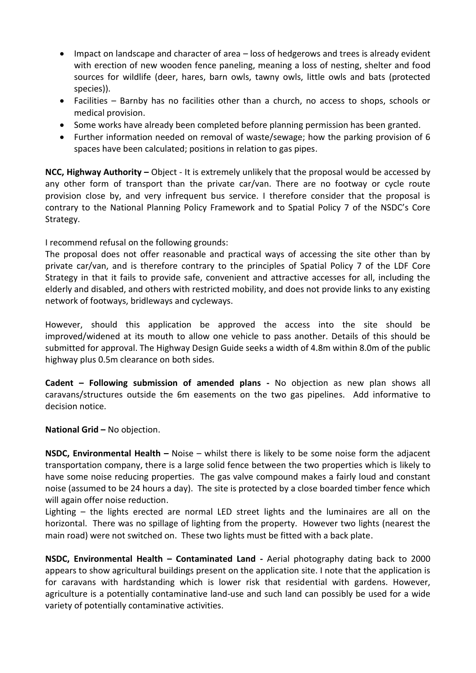- Impact on landscape and character of area loss of hedgerows and trees is already evident with erection of new wooden fence paneling, meaning a loss of nesting, shelter and food sources for wildlife (deer, hares, barn owls, tawny owls, little owls and bats (protected species)).
- Facilities Barnby has no facilities other than a church, no access to shops, schools or medical provision.
- Some works have already been completed before planning permission has been granted.
- Further information needed on removal of waste/sewage; how the parking provision of 6 spaces have been calculated; positions in relation to gas pipes.

**NCC, Highway Authority –** Object - It is extremely unlikely that the proposal would be accessed by any other form of transport than the private car/van. There are no footway or cycle route provision close by, and very infrequent bus service. I therefore consider that the proposal is contrary to the National Planning Policy Framework and to Spatial Policy 7 of the NSDC's Core Strategy.

I recommend refusal on the following grounds:

The proposal does not offer reasonable and practical ways of accessing the site other than by private car/van, and is therefore contrary to the principles of Spatial Policy 7 of the LDF Core Strategy in that it fails to provide safe, convenient and attractive accesses for all, including the elderly and disabled, and others with restricted mobility, and does not provide links to any existing network of footways, bridleways and cycleways.

However, should this application be approved the access into the site should be improved/widened at its mouth to allow one vehicle to pass another. Details of this should be submitted for approval. The Highway Design Guide seeks a width of 4.8m within 8.0m of the public highway plus 0.5m clearance on both sides.

**Cadent – Following submission of amended plans -** No objection as new plan shows all caravans/structures outside the 6m easements on the two gas pipelines. Add informative to decision notice.

**National Grid –** No objection.

**NSDC, Environmental Health –** Noise – whilst there is likely to be some noise form the adjacent transportation company, there is a large solid fence between the two properties which is likely to have some noise reducing properties. The gas valve compound makes a fairly loud and constant noise (assumed to be 24 hours a day). The site is protected by a close boarded timber fence which will again offer noise reduction.

Lighting – the lights erected are normal LED street lights and the luminaires are all on the horizontal. There was no spillage of lighting from the property. However two lights (nearest the main road) were not switched on. These two lights must be fitted with a back plate.

**NSDC, Environmental Health – Contaminated Land -** Aerial photography dating back to 2000 appears to show agricultural buildings present on the application site. I note that the application is for caravans with hardstanding which is lower risk that residential with gardens. However, agriculture is a potentially contaminative land-use and such land can possibly be used for a wide variety of potentially contaminative activities.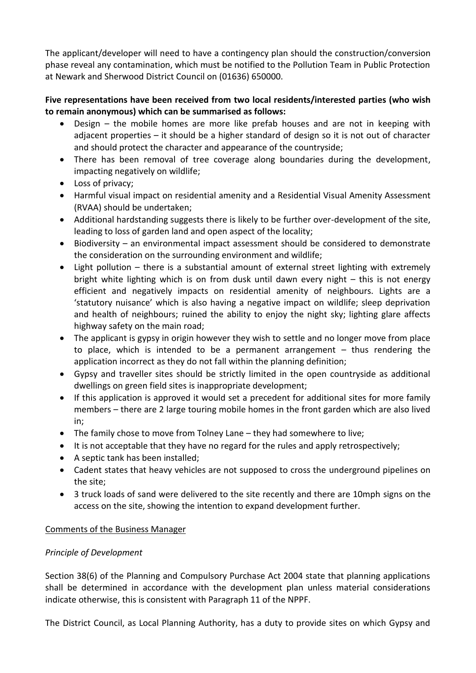The applicant/developer will need to have a contingency plan should the construction/conversion phase reveal any contamination, which must be notified to the Pollution Team in Public Protection at Newark and Sherwood District Council on (01636) 650000.

# **Five representations have been received from two local residents/interested parties (who wish to remain anonymous) which can be summarised as follows:**

- Design the mobile homes are more like prefab houses and are not in keeping with adjacent properties – it should be a higher standard of design so it is not out of character and should protect the character and appearance of the countryside;
- There has been removal of tree coverage along boundaries during the development, impacting negatively on wildlife;
- Loss of privacy;
- Harmful visual impact on residential amenity and a Residential Visual Amenity Assessment (RVAA) should be undertaken;
- Additional hardstanding suggests there is likely to be further over-development of the site, leading to loss of garden land and open aspect of the locality;
- Biodiversity an environmental impact assessment should be considered to demonstrate the consideration on the surrounding environment and wildlife;
- Light pollution there is a substantial amount of external street lighting with extremely bright white lighting which is on from dusk until dawn every night – this is not energy efficient and negatively impacts on residential amenity of neighbours. Lights are a 'statutory nuisance' which is also having a negative impact on wildlife; sleep deprivation and health of neighbours; ruined the ability to enjoy the night sky; lighting glare affects highway safety on the main road;
- The applicant is gypsy in origin however they wish to settle and no longer move from place to place, which is intended to be a permanent arrangement – thus rendering the application incorrect as they do not fall within the planning definition;
- Gypsy and traveller sites should be strictly limited in the open countryside as additional dwellings on green field sites is inappropriate development;
- If this application is approved it would set a precedent for additional sites for more family members – there are 2 large touring mobile homes in the front garden which are also lived in;
- The family chose to move from Tolney Lane they had somewhere to live;
- It is not acceptable that they have no regard for the rules and apply retrospectively;
- A septic tank has been installed;
- Cadent states that heavy vehicles are not supposed to cross the underground pipelines on the site;
- 3 truck loads of sand were delivered to the site recently and there are 10mph signs on the access on the site, showing the intention to expand development further.

# Comments of the Business Manager

# *Principle of Development*

Section 38(6) of the Planning and Compulsory Purchase Act 2004 state that planning applications shall be determined in accordance with the development plan unless material considerations indicate otherwise, this is consistent with Paragraph 11 of the NPPF.

The District Council, as Local Planning Authority, has a duty to provide sites on which Gypsy and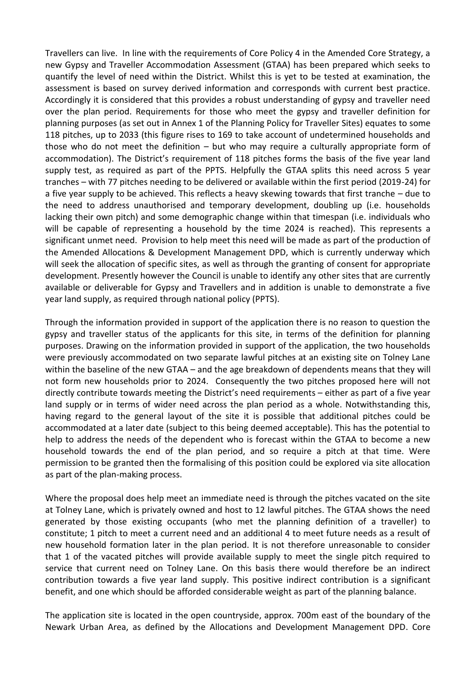Travellers can live. In line with the requirements of Core Policy 4 in the Amended Core Strategy, a new Gypsy and Traveller Accommodation Assessment (GTAA) has been prepared which seeks to quantify the level of need within the District. Whilst this is yet to be tested at examination, the assessment is based on survey derived information and corresponds with current best practice. Accordingly it is considered that this provides a robust understanding of gypsy and traveller need over the plan period. Requirements for those who meet the gypsy and traveller definition for planning purposes (as set out in Annex 1 of the Planning Policy for Traveller Sites) equates to some 118 pitches, up to 2033 (this figure rises to 169 to take account of undetermined households and those who do not meet the definition – but who may require a culturally appropriate form of accommodation). The District's requirement of 118 pitches forms the basis of the five year land supply test, as required as part of the PPTS. Helpfully the GTAA splits this need across 5 year tranches – with 77 pitches needing to be delivered or available within the first period (2019-24) for a five year supply to be achieved. This reflects a heavy skewing towards that first tranche – due to the need to address unauthorised and temporary development, doubling up (i.e. households lacking their own pitch) and some demographic change within that timespan (i.e. individuals who will be capable of representing a household by the time 2024 is reached). This represents a significant unmet need. Provision to help meet this need will be made as part of the production of the Amended Allocations & Development Management DPD, which is currently underway which will seek the allocation of specific sites, as well as through the granting of consent for appropriate development. Presently however the Council is unable to identify any other sites that are currently available or deliverable for Gypsy and Travellers and in addition is unable to demonstrate a five year land supply, as required through national policy (PPTS).

Through the information provided in support of the application there is no reason to question the gypsy and traveller status of the applicants for this site, in terms of the definition for planning purposes. Drawing on the information provided in support of the application, the two households were previously accommodated on two separate lawful pitches at an existing site on Tolney Lane within the baseline of the new GTAA – and the age breakdown of dependents means that they will not form new households prior to 2024. Consequently the two pitches proposed here will not directly contribute towards meeting the District's need requirements – either as part of a five year land supply or in terms of wider need across the plan period as a whole. Notwithstanding this, having regard to the general layout of the site it is possible that additional pitches could be accommodated at a later date (subject to this being deemed acceptable). This has the potential to help to address the needs of the dependent who is forecast within the GTAA to become a new household towards the end of the plan period, and so require a pitch at that time. Were permission to be granted then the formalising of this position could be explored via site allocation as part of the plan-making process.

Where the proposal does help meet an immediate need is through the pitches vacated on the site at Tolney Lane, which is privately owned and host to 12 lawful pitches. The GTAA shows the need generated by those existing occupants (who met the planning definition of a traveller) to constitute; 1 pitch to meet a current need and an additional 4 to meet future needs as a result of new household formation later in the plan period. It is not therefore unreasonable to consider that 1 of the vacated pitches will provide available supply to meet the single pitch required to service that current need on Tolney Lane. On this basis there would therefore be an indirect contribution towards a five year land supply. This positive indirect contribution is a significant benefit, and one which should be afforded considerable weight as part of the planning balance.

The application site is located in the open countryside, approx. 700m east of the boundary of the Newark Urban Area, as defined by the Allocations and Development Management DPD. Core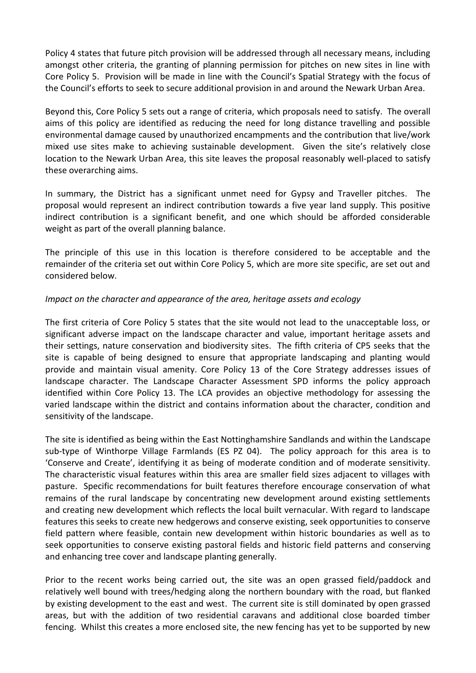Policy 4 states that future pitch provision will be addressed through all necessary means, including amongst other criteria, the granting of planning permission for pitches on new sites in line with Core Policy 5. Provision will be made in line with the Council's Spatial Strategy with the focus of the Council's efforts to seek to secure additional provision in and around the Newark Urban Area.

Beyond this, Core Policy 5 sets out a range of criteria, which proposals need to satisfy. The overall aims of this policy are identified as reducing the need for long distance travelling and possible environmental damage caused by unauthorized encampments and the contribution that live/work mixed use sites make to achieving sustainable development. Given the site's relatively close location to the Newark Urban Area, this site leaves the proposal reasonably well-placed to satisfy these overarching aims.

In summary, the District has a significant unmet need for Gypsy and Traveller pitches. The proposal would represent an indirect contribution towards a five year land supply. This positive indirect contribution is a significant benefit, and one which should be afforded considerable weight as part of the overall planning balance.

The principle of this use in this location is therefore considered to be acceptable and the remainder of the criteria set out within Core Policy 5, which are more site specific, are set out and considered below.

## *Impact on the character and appearance of the area, heritage assets and ecology*

The first criteria of Core Policy 5 states that the site would not lead to the unacceptable loss, or significant adverse impact on the landscape character and value, important heritage assets and their settings, nature conservation and biodiversity sites. The fifth criteria of CP5 seeks that the site is capable of being designed to ensure that appropriate landscaping and planting would provide and maintain visual amenity. Core Policy 13 of the Core Strategy addresses issues of landscape character. The Landscape Character Assessment SPD informs the policy approach identified within Core Policy 13. The LCA provides an objective methodology for assessing the varied landscape within the district and contains information about the character, condition and sensitivity of the landscape.

The site is identified as being within the East Nottinghamshire Sandlands and within the Landscape sub-type of Winthorpe Village Farmlands (ES PZ 04). The policy approach for this area is to 'Conserve and Create', identifying it as being of moderate condition and of moderate sensitivity. The characteristic visual features within this area are smaller field sizes adjacent to villages with pasture. Specific recommendations for built features therefore encourage conservation of what remains of the rural landscape by concentrating new development around existing settlements and creating new development which reflects the local built vernacular. With regard to landscape features this seeks to create new hedgerows and conserve existing, seek opportunities to conserve field pattern where feasible, contain new development within historic boundaries as well as to seek opportunities to conserve existing pastoral fields and historic field patterns and conserving and enhancing tree cover and landscape planting generally.

Prior to the recent works being carried out, the site was an open grassed field/paddock and relatively well bound with trees/hedging along the northern boundary with the road, but flanked by existing development to the east and west. The current site is still dominated by open grassed areas, but with the addition of two residential caravans and additional close boarded timber fencing. Whilst this creates a more enclosed site, the new fencing has yet to be supported by new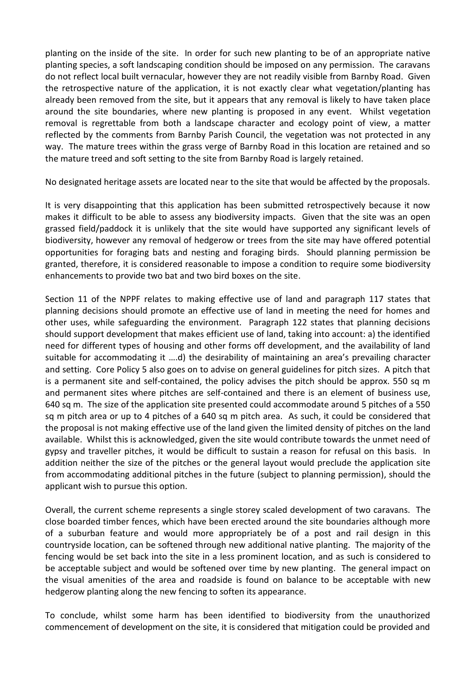planting on the inside of the site. In order for such new planting to be of an appropriate native planting species, a soft landscaping condition should be imposed on any permission. The caravans do not reflect local built vernacular, however they are not readily visible from Barnby Road. Given the retrospective nature of the application, it is not exactly clear what vegetation/planting has already been removed from the site, but it appears that any removal is likely to have taken place around the site boundaries, where new planting is proposed in any event. Whilst vegetation removal is regrettable from both a landscape character and ecology point of view, a matter reflected by the comments from Barnby Parish Council, the vegetation was not protected in any way. The mature trees within the grass verge of Barnby Road in this location are retained and so the mature treed and soft setting to the site from Barnby Road is largely retained.

No designated heritage assets are located near to the site that would be affected by the proposals.

It is very disappointing that this application has been submitted retrospectively because it now makes it difficult to be able to assess any biodiversity impacts. Given that the site was an open grassed field/paddock it is unlikely that the site would have supported any significant levels of biodiversity, however any removal of hedgerow or trees from the site may have offered potential opportunities for foraging bats and nesting and foraging birds. Should planning permission be granted, therefore, it is considered reasonable to impose a condition to require some biodiversity enhancements to provide two bat and two bird boxes on the site.

Section 11 of the NPPF relates to making effective use of land and paragraph 117 states that planning decisions should promote an effective use of land in meeting the need for homes and other uses, while safeguarding the environment. Paragraph 122 states that planning decisions should support development that makes efficient use of land, taking into account: a) the identified need for different types of housing and other forms off development, and the availability of land suitable for accommodating it ….d) the desirability of maintaining an area's prevailing character and setting. Core Policy 5 also goes on to advise on general guidelines for pitch sizes. A pitch that is a permanent site and self-contained, the policy advises the pitch should be approx. 550 sq m and permanent sites where pitches are self-contained and there is an element of business use, 640 sq m. The size of the application site presented could accommodate around 5 pitches of a 550 sq m pitch area or up to 4 pitches of a 640 sq m pitch area. As such, it could be considered that the proposal is not making effective use of the land given the limited density of pitches on the land available. Whilst this is acknowledged, given the site would contribute towards the unmet need of gypsy and traveller pitches, it would be difficult to sustain a reason for refusal on this basis. In addition neither the size of the pitches or the general layout would preclude the application site from accommodating additional pitches in the future (subject to planning permission), should the applicant wish to pursue this option.

Overall, the current scheme represents a single storey scaled development of two caravans. The close boarded timber fences, which have been erected around the site boundaries although more of a suburban feature and would more appropriately be of a post and rail design in this countryside location, can be softened through new additional native planting. The majority of the fencing would be set back into the site in a less prominent location, and as such is considered to be acceptable subject and would be softened over time by new planting. The general impact on the visual amenities of the area and roadside is found on balance to be acceptable with new hedgerow planting along the new fencing to soften its appearance.

To conclude, whilst some harm has been identified to biodiversity from the unauthorized commencement of development on the site, it is considered that mitigation could be provided and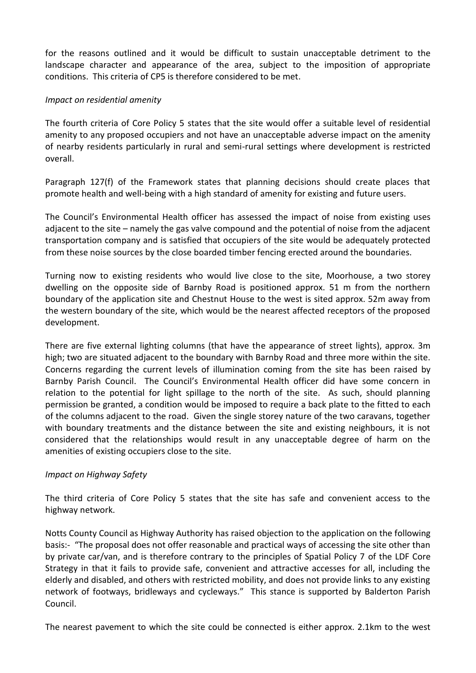for the reasons outlined and it would be difficult to sustain unacceptable detriment to the landscape character and appearance of the area, subject to the imposition of appropriate conditions. This criteria of CP5 is therefore considered to be met.

## *Impact on residential amenity*

The fourth criteria of Core Policy 5 states that the site would offer a suitable level of residential amenity to any proposed occupiers and not have an unacceptable adverse impact on the amenity of nearby residents particularly in rural and semi-rural settings where development is restricted overall.

Paragraph 127(f) of the Framework states that planning decisions should create places that promote health and well-being with a high standard of amenity for existing and future users.

The Council's Environmental Health officer has assessed the impact of noise from existing uses adjacent to the site – namely the gas valve compound and the potential of noise from the adjacent transportation company and is satisfied that occupiers of the site would be adequately protected from these noise sources by the close boarded timber fencing erected around the boundaries.

Turning now to existing residents who would live close to the site, Moorhouse, a two storey dwelling on the opposite side of Barnby Road is positioned approx. 51 m from the northern boundary of the application site and Chestnut House to the west is sited approx. 52m away from the western boundary of the site, which would be the nearest affected receptors of the proposed development.

There are five external lighting columns (that have the appearance of street lights), approx. 3m high; two are situated adjacent to the boundary with Barnby Road and three more within the site. Concerns regarding the current levels of illumination coming from the site has been raised by Barnby Parish Council. The Council's Environmental Health officer did have some concern in relation to the potential for light spillage to the north of the site. As such, should planning permission be granted, a condition would be imposed to require a back plate to the fitted to each of the columns adjacent to the road. Given the single storey nature of the two caravans, together with boundary treatments and the distance between the site and existing neighbours, it is not considered that the relationships would result in any unacceptable degree of harm on the amenities of existing occupiers close to the site.

# *Impact on Highway Safety*

The third criteria of Core Policy 5 states that the site has safe and convenient access to the highway network.

Notts County Council as Highway Authority has raised objection to the application on the following basis:- "The proposal does not offer reasonable and practical ways of accessing the site other than by private car/van, and is therefore contrary to the principles of Spatial Policy 7 of the LDF Core Strategy in that it fails to provide safe, convenient and attractive accesses for all, including the elderly and disabled, and others with restricted mobility, and does not provide links to any existing network of footways, bridleways and cycleways." This stance is supported by Balderton Parish Council.

The nearest pavement to which the site could be connected is either approx. 2.1km to the west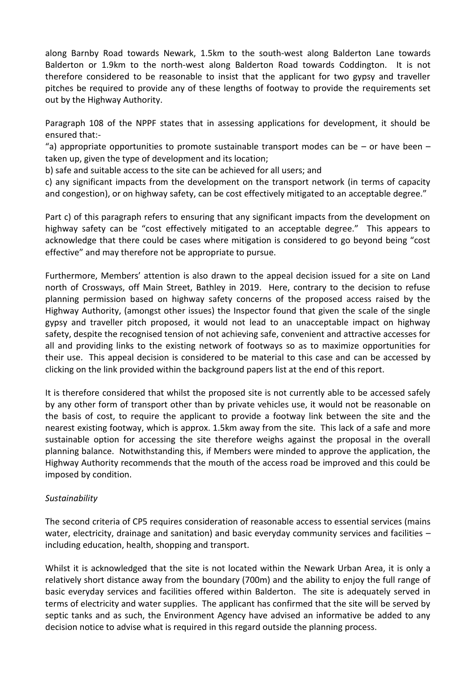along Barnby Road towards Newark, 1.5km to the south-west along Balderton Lane towards Balderton or 1.9km to the north-west along Balderton Road towards Coddington. It is not therefore considered to be reasonable to insist that the applicant for two gypsy and traveller pitches be required to provide any of these lengths of footway to provide the requirements set out by the Highway Authority.

Paragraph 108 of the NPPF states that in assessing applications for development, it should be ensured that:-

"a) appropriate opportunities to promote sustainable transport modes can be  $-$  or have been  $$ taken up, given the type of development and its location;

b) safe and suitable access to the site can be achieved for all users; and

c) any significant impacts from the development on the transport network (in terms of capacity and congestion), or on highway safety, can be cost effectively mitigated to an acceptable degree."

Part c) of this paragraph refers to ensuring that any significant impacts from the development on highway safety can be "cost effectively mitigated to an acceptable degree." This appears to acknowledge that there could be cases where mitigation is considered to go beyond being "cost effective" and may therefore not be appropriate to pursue.

Furthermore, Members' attention is also drawn to the appeal decision issued for a site on Land north of Crossways, off Main Street, Bathley in 2019. Here, contrary to the decision to refuse planning permission based on highway safety concerns of the proposed access raised by the Highway Authority, (amongst other issues) the Inspector found that given the scale of the single gypsy and traveller pitch proposed, it would not lead to an unacceptable impact on highway safety, despite the recognised tension of not achieving safe, convenient and attractive accesses for all and providing links to the existing network of footways so as to maximize opportunities for their use. This appeal decision is considered to be material to this case and can be accessed by clicking on the link provided within the background papers list at the end of this report.

It is therefore considered that whilst the proposed site is not currently able to be accessed safely by any other form of transport other than by private vehicles use, it would not be reasonable on the basis of cost, to require the applicant to provide a footway link between the site and the nearest existing footway, which is approx. 1.5km away from the site. This lack of a safe and more sustainable option for accessing the site therefore weighs against the proposal in the overall planning balance. Notwithstanding this, if Members were minded to approve the application, the Highway Authority recommends that the mouth of the access road be improved and this could be imposed by condition.

# *Sustainability*

The second criteria of CP5 requires consideration of reasonable access to essential services (mains water, electricity, drainage and sanitation) and basic everyday community services and facilities including education, health, shopping and transport.

Whilst it is acknowledged that the site is not located within the Newark Urban Area, it is only a relatively short distance away from the boundary (700m) and the ability to enjoy the full range of basic everyday services and facilities offered within Balderton. The site is adequately served in terms of electricity and water supplies. The applicant has confirmed that the site will be served by septic tanks and as such, the Environment Agency have advised an informative be added to any decision notice to advise what is required in this regard outside the planning process.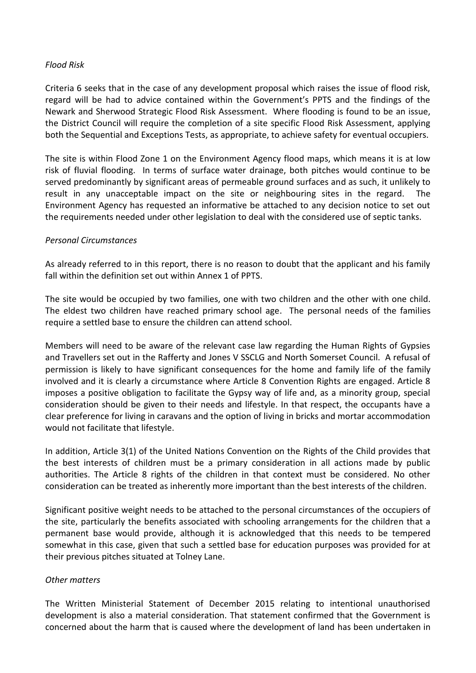#### *Flood Risk*

Criteria 6 seeks that in the case of any development proposal which raises the issue of flood risk, regard will be had to advice contained within the Government's PPTS and the findings of the Newark and Sherwood Strategic Flood Risk Assessment. Where flooding is found to be an issue, the District Council will require the completion of a site specific Flood Risk Assessment, applying both the Sequential and Exceptions Tests, as appropriate, to achieve safety for eventual occupiers.

The site is within Flood Zone 1 on the Environment Agency flood maps, which means it is at low risk of fluvial flooding. In terms of surface water drainage, both pitches would continue to be served predominantly by significant areas of permeable ground surfaces and as such, it unlikely to result in any unacceptable impact on the site or neighbouring sites in the regard. The Environment Agency has requested an informative be attached to any decision notice to set out the requirements needed under other legislation to deal with the considered use of septic tanks.

## *Personal Circumstances*

As already referred to in this report, there is no reason to doubt that the applicant and his family fall within the definition set out within Annex 1 of PPTS.

The site would be occupied by two families, one with two children and the other with one child. The eldest two children have reached primary school age. The personal needs of the families require a settled base to ensure the children can attend school.

Members will need to be aware of the relevant case law regarding the Human Rights of Gypsies and Travellers set out in the Rafferty and Jones V SSCLG and North Somerset Council. A refusal of permission is likely to have significant consequences for the home and family life of the family involved and it is clearly a circumstance where Article 8 Convention Rights are engaged. Article 8 imposes a positive obligation to facilitate the Gypsy way of life and, as a minority group, special consideration should be given to their needs and lifestyle. In that respect, the occupants have a clear preference for living in caravans and the option of living in bricks and mortar accommodation would not facilitate that lifestyle.

In addition, Article 3(1) of the United Nations Convention on the Rights of the Child provides that the best interests of children must be a primary consideration in all actions made by public authorities. The Article 8 rights of the children in that context must be considered. No other consideration can be treated as inherently more important than the best interests of the children.

Significant positive weight needs to be attached to the personal circumstances of the occupiers of the site, particularly the benefits associated with schooling arrangements for the children that a permanent base would provide, although it is acknowledged that this needs to be tempered somewhat in this case, given that such a settled base for education purposes was provided for at their previous pitches situated at Tolney Lane.

#### *Other matters*

The Written Ministerial Statement of December 2015 relating to intentional unauthorised development is also a material consideration. That statement confirmed that the Government is concerned about the harm that is caused where the development of land has been undertaken in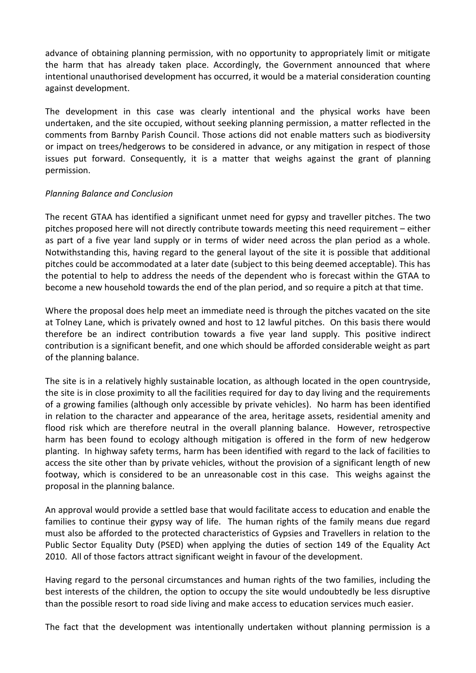advance of obtaining planning permission, with no opportunity to appropriately limit or mitigate the harm that has already taken place. Accordingly, the Government announced that where intentional unauthorised development has occurred, it would be a material consideration counting against development.

The development in this case was clearly intentional and the physical works have been undertaken, and the site occupied, without seeking planning permission, a matter reflected in the comments from Barnby Parish Council. Those actions did not enable matters such as biodiversity or impact on trees/hedgerows to be considered in advance, or any mitigation in respect of those issues put forward. Consequently, it is a matter that weighs against the grant of planning permission.

## *Planning Balance and Conclusion*

The recent GTAA has identified a significant unmet need for gypsy and traveller pitches. The two pitches proposed here will not directly contribute towards meeting this need requirement – either as part of a five year land supply or in terms of wider need across the plan period as a whole. Notwithstanding this, having regard to the general layout of the site it is possible that additional pitches could be accommodated at a later date (subject to this being deemed acceptable). This has the potential to help to address the needs of the dependent who is forecast within the GTAA to become a new household towards the end of the plan period, and so require a pitch at that time.

Where the proposal does help meet an immediate need is through the pitches vacated on the site at Tolney Lane, which is privately owned and host to 12 lawful pitches. On this basis there would therefore be an indirect contribution towards a five year land supply. This positive indirect contribution is a significant benefit, and one which should be afforded considerable weight as part of the planning balance.

The site is in a relatively highly sustainable location, as although located in the open countryside, the site is in close proximity to all the facilities required for day to day living and the requirements of a growing families (although only accessible by private vehicles). No harm has been identified in relation to the character and appearance of the area, heritage assets, residential amenity and flood risk which are therefore neutral in the overall planning balance. However, retrospective harm has been found to ecology although mitigation is offered in the form of new hedgerow planting. In highway safety terms, harm has been identified with regard to the lack of facilities to access the site other than by private vehicles, without the provision of a significant length of new footway, which is considered to be an unreasonable cost in this case. This weighs against the proposal in the planning balance.

An approval would provide a settled base that would facilitate access to education and enable the families to continue their gypsy way of life. The human rights of the family means due regard must also be afforded to the protected characteristics of Gypsies and Travellers in relation to the Public Sector Equality Duty (PSED) when applying the duties of section 149 of the Equality Act 2010. All of those factors attract significant weight in favour of the development.

Having regard to the personal circumstances and human rights of the two families, including the best interests of the children, the option to occupy the site would undoubtedly be less disruptive than the possible resort to road side living and make access to education services much easier.

The fact that the development was intentionally undertaken without planning permission is a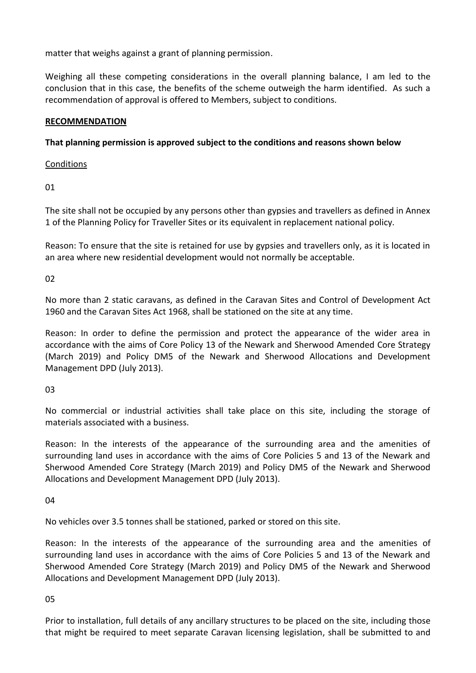matter that weighs against a grant of planning permission.

Weighing all these competing considerations in the overall planning balance, I am led to the conclusion that in this case, the benefits of the scheme outweigh the harm identified. As such a recommendation of approval is offered to Members, subject to conditions.

# **RECOMMENDATION**

## **That planning permission is approved subject to the conditions and reasons shown below**

**Conditions** 

01

The site shall not be occupied by any persons other than gypsies and travellers as defined in Annex 1 of the Planning Policy for Traveller Sites or its equivalent in replacement national policy.

Reason: To ensure that the site is retained for use by gypsies and travellers only, as it is located in an area where new residential development would not normally be acceptable.

 $02$ 

No more than 2 static caravans, as defined in the Caravan Sites and Control of Development Act 1960 and the Caravan Sites Act 1968, shall be stationed on the site at any time.

Reason: In order to define the permission and protect the appearance of the wider area in accordance with the aims of Core Policy 13 of the Newark and Sherwood Amended Core Strategy (March 2019) and Policy DM5 of the Newark and Sherwood Allocations and Development Management DPD (July 2013).

03

No commercial or industrial activities shall take place on this site, including the storage of materials associated with a business.

Reason: In the interests of the appearance of the surrounding area and the amenities of surrounding land uses in accordance with the aims of Core Policies 5 and 13 of the Newark and Sherwood Amended Core Strategy (March 2019) and Policy DM5 of the Newark and Sherwood Allocations and Development Management DPD (July 2013).

04

No vehicles over 3.5 tonnes shall be stationed, parked or stored on this site.

Reason: In the interests of the appearance of the surrounding area and the amenities of surrounding land uses in accordance with the aims of Core Policies 5 and 13 of the Newark and Sherwood Amended Core Strategy (March 2019) and Policy DM5 of the Newark and Sherwood Allocations and Development Management DPD (July 2013).

05

Prior to installation, full details of any ancillary structures to be placed on the site, including those that might be required to meet separate Caravan licensing legislation, shall be submitted to and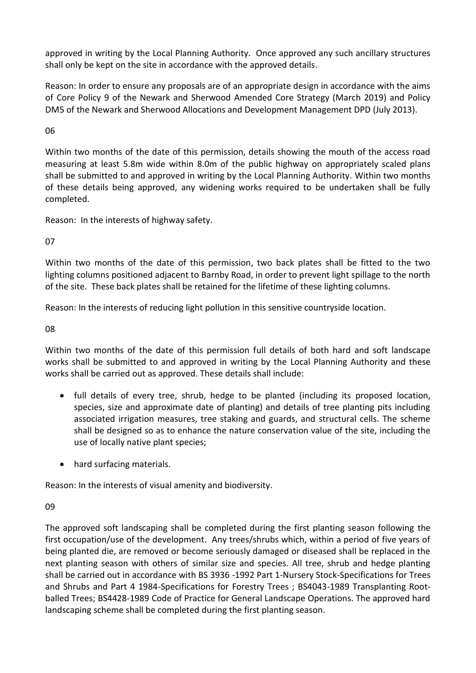approved in writing by the Local Planning Authority. Once approved any such ancillary structures shall only be kept on the site in accordance with the approved details.

Reason: In order to ensure any proposals are of an appropriate design in accordance with the aims of Core Policy 9 of the Newark and Sherwood Amended Core Strategy (March 2019) and Policy DM5 of the Newark and Sherwood Allocations and Development Management DPD (July 2013).

06

Within two months of the date of this permission, details showing the mouth of the access road measuring at least 5.8m wide within 8.0m of the public highway on appropriately scaled plans shall be submitted to and approved in writing by the Local Planning Authority. Within two months of these details being approved, any widening works required to be undertaken shall be fully completed.

Reason: In the interests of highway safety.

07

Within two months of the date of this permission, two back plates shall be fitted to the two lighting columns positioned adjacent to Barnby Road, in order to prevent light spillage to the north of the site. These back plates shall be retained for the lifetime of these lighting columns.

Reason: In the interests of reducing light pollution in this sensitive countryside location.

08

Within two months of the date of this permission full details of both hard and soft landscape works shall be submitted to and approved in writing by the Local Planning Authority and these works shall be carried out as approved. These details shall include:

- full details of every tree, shrub, hedge to be planted (including its proposed location, species, size and approximate date of planting) and details of tree planting pits including associated irrigation measures, tree staking and guards, and structural cells. The scheme shall be designed so as to enhance the nature conservation value of the site, including the use of locally native plant species;
- hard surfacing materials.

Reason: In the interests of visual amenity and biodiversity.

09

The approved soft landscaping shall be completed during the first planting season following the first occupation/use of the development. Any trees/shrubs which, within a period of five years of being planted die, are removed or become seriously damaged or diseased shall be replaced in the next planting season with others of similar size and species. All tree, shrub and hedge planting shall be carried out in accordance with BS 3936 -1992 Part 1-Nursery Stock-Specifications for Trees and Shrubs and Part 4 1984-Specifications for Forestry Trees ; BS4043-1989 Transplanting Rootballed Trees; BS4428-1989 Code of Practice for General Landscape Operations. The approved hard landscaping scheme shall be completed during the first planting season.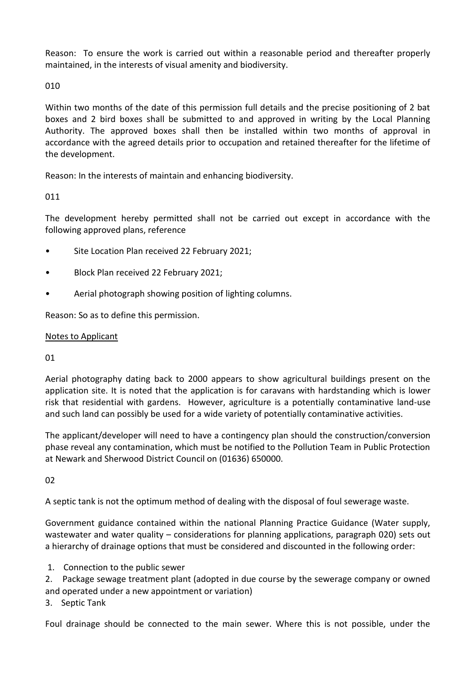Reason: To ensure the work is carried out within a reasonable period and thereafter properly maintained, in the interests of visual amenity and biodiversity.

010

Within two months of the date of this permission full details and the precise positioning of 2 bat boxes and 2 bird boxes shall be submitted to and approved in writing by the Local Planning Authority. The approved boxes shall then be installed within two months of approval in accordance with the agreed details prior to occupation and retained thereafter for the lifetime of the development.

Reason: In the interests of maintain and enhancing biodiversity.

011

The development hereby permitted shall not be carried out except in accordance with the following approved plans, reference

- Site Location Plan received 22 February 2021;
- Block Plan received 22 February 2021;
- Aerial photograph showing position of lighting columns.

Reason: So as to define this permission.

## Notes to Applicant

01

Aerial photography dating back to 2000 appears to show agricultural buildings present on the application site. It is noted that the application is for caravans with hardstanding which is lower risk that residential with gardens. However, agriculture is a potentially contaminative land-use and such land can possibly be used for a wide variety of potentially contaminative activities.

The applicant/developer will need to have a contingency plan should the construction/conversion phase reveal any contamination, which must be notified to the Pollution Team in Public Protection at Newark and Sherwood District Council on (01636) 650000.

02

A septic tank is not the optimum method of dealing with the disposal of foul sewerage waste.

Government guidance contained within the national Planning Practice Guidance (Water supply, wastewater and water quality – considerations for planning applications, paragraph 020) sets out a hierarchy of drainage options that must be considered and discounted in the following order:

1. Connection to the public sewer

2. Package sewage treatment plant (adopted in due course by the sewerage company or owned and operated under a new appointment or variation)

3. Septic Tank

Foul drainage should be connected to the main sewer. Where this is not possible, under the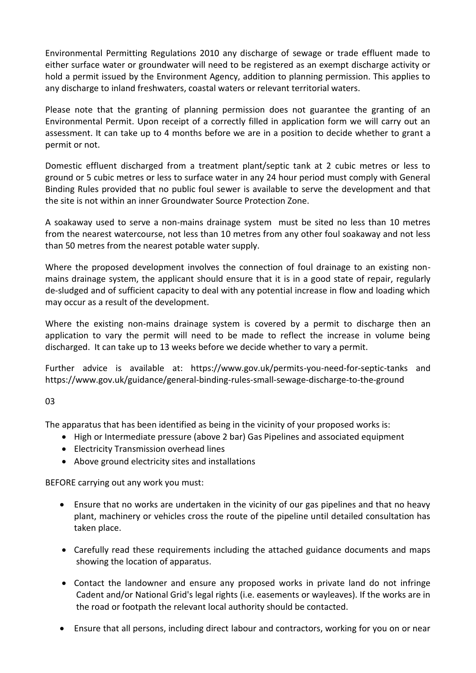Environmental Permitting Regulations 2010 any discharge of sewage or trade effluent made to either surface water or groundwater will need to be registered as an exempt discharge activity or hold a permit issued by the Environment Agency, addition to planning permission. This applies to any discharge to inland freshwaters, coastal waters or relevant territorial waters.

Please note that the granting of planning permission does not guarantee the granting of an Environmental Permit. Upon receipt of a correctly filled in application form we will carry out an assessment. It can take up to 4 months before we are in a position to decide whether to grant a permit or not.

Domestic effluent discharged from a treatment plant/septic tank at 2 cubic metres or less to ground or 5 cubic metres or less to surface water in any 24 hour period must comply with General Binding Rules provided that no public foul sewer is available to serve the development and that the site is not within an inner Groundwater Source Protection Zone.

A soakaway used to serve a non-mains drainage system must be sited no less than 10 metres from the nearest watercourse, not less than 10 metres from any other foul soakaway and not less than 50 metres from the nearest potable water supply.

Where the proposed development involves the connection of foul drainage to an existing nonmains drainage system, the applicant should ensure that it is in a good state of repair, regularly de-sludged and of sufficient capacity to deal with any potential increase in flow and loading which may occur as a result of the development.

Where the existing non-mains drainage system is covered by a permit to discharge then an application to vary the permit will need to be made to reflect the increase in volume being discharged. It can take up to 13 weeks before we decide whether to vary a permit.

Further advice is available at: https://www.gov.uk/permits-you-need-for-septic-tanks and https://www.gov.uk/guidance/general-binding-rules-small-sewage-discharge-to-the-ground

# 03

The apparatus that has been identified as being in the vicinity of your proposed works is:

- High or Intermediate pressure (above 2 bar) Gas Pipelines and associated equipment
- Electricity Transmission overhead lines
- Above ground electricity sites and installations

BEFORE carrying out any work you must:

- Ensure that no works are undertaken in the vicinity of our gas pipelines and that no heavy plant, machinery or vehicles cross the route of the pipeline until detailed consultation has taken place.
- Carefully read these requirements including the attached guidance documents and maps showing the location of apparatus.
- Contact the landowner and ensure any proposed works in private land do not infringe Cadent and/or National Grid's legal rights (i.e. easements or wayleaves). If the works are in the road or footpath the relevant local authority should be contacted.
- Ensure that all persons, including direct labour and contractors, working for you on or near